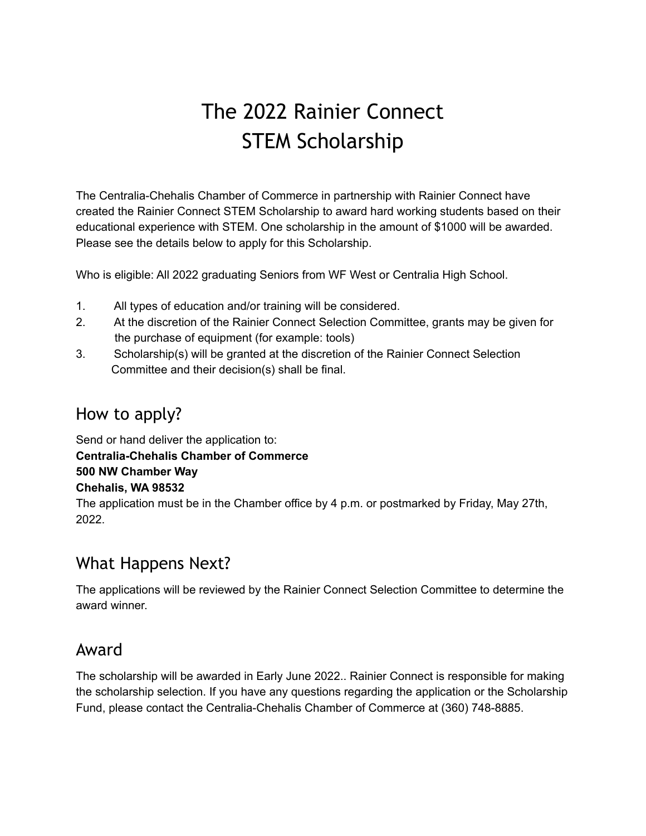# The 2022 Rainier Connect STEM Scholarship

The Centralia-Chehalis Chamber of Commerce in partnership with Rainier Connect have created the Rainier Connect STEM Scholarship to award hard working students based on their educational experience with STEM. One scholarship in the amount of \$1000 will be awarded. Please see the details below to apply for this Scholarship.

Who is eligible: All 2022 graduating Seniors from WF West or Centralia High School.

- 1. All types of education and/or training will be considered.
- 2. At the discretion of the Rainier Connect Selection Committee, grants may be given for the purchase of equipment (for example: tools)
- 3. Scholarship(s) will be granted at the discretion of the Rainier Connect Selection Committee and their decision(s) shall be final.

#### How to apply?

Send or hand deliver the application to: **Centralia-Chehalis Chamber of Commerce 500 NW Chamber Way Chehalis, WA 98532** The application must be in the Chamber office by 4 p.m. or postmarked by Friday, May 27th, 2022.

### What Happens Next?

The applications will be reviewed by the Rainier Connect Selection Committee to determine the award winner.

#### Award

The scholarship will be awarded in Early June 2022.. Rainier Connect is responsible for making the scholarship selection. If you have any questions regarding the application or the Scholarship Fund, please contact the Centralia-Chehalis Chamber of Commerce at (360) 748-8885.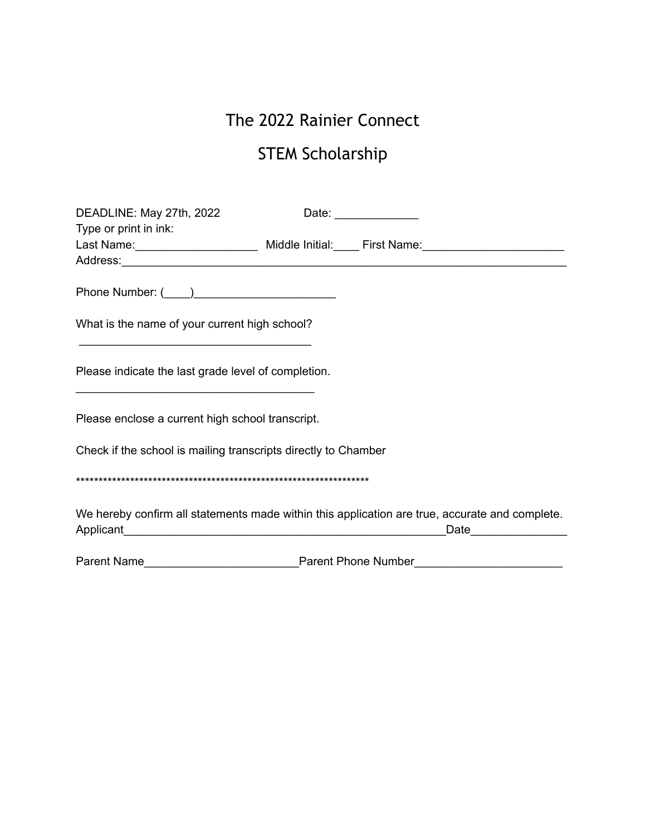## The 2022 Rainier Connect

## STEM Scholarship

| DEADLINE: May 27th, 2022                                                                                                                                                     |  | Date: _______________ |
|------------------------------------------------------------------------------------------------------------------------------------------------------------------------------|--|-----------------------|
| Type or print in ink:                                                                                                                                                        |  |                       |
|                                                                                                                                                                              |  |                       |
|                                                                                                                                                                              |  |                       |
|                                                                                                                                                                              |  |                       |
| What is the name of your current high school?                                                                                                                                |  |                       |
|                                                                                                                                                                              |  |                       |
| Please indicate the last grade level of completion.<br><u> 1950 - Paris Alexandri, prima estadounidense en la provincia de la provincia de la provincia de la provincia </u> |  |                       |
| Please enclose a current high school transcript.                                                                                                                             |  |                       |
| Check if the school is mailing transcripts directly to Chamber                                                                                                               |  |                       |
|                                                                                                                                                                              |  |                       |
| We hereby confirm all statements made within this application are true, accurate and complete.<br>Date                                                                       |  |                       |
|                                                                                                                                                                              |  |                       |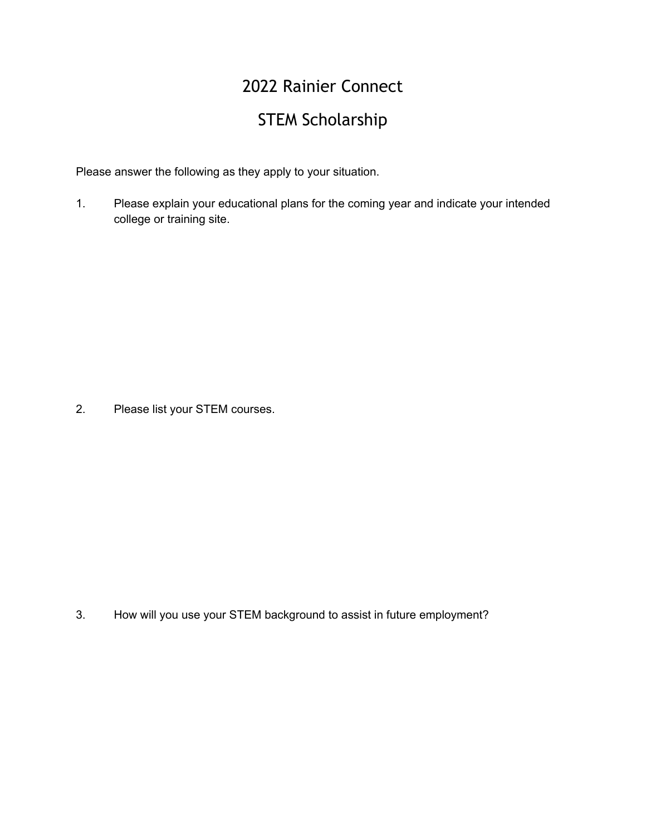# 2022 Rainier Connect

## STEM Scholarship

Please answer the following as they apply to your situation.

1. Please explain your educational plans for the coming year and indicate your intended college or training site.

2. Please list your STEM courses.

3. How will you use your STEM background to assist in future employment?